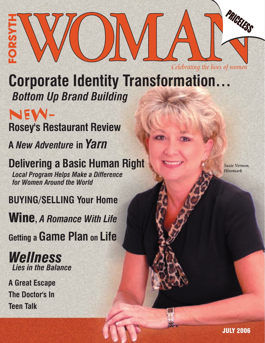

**Corporate Identity Transformation…**  *Bottom Up Brand Building*

NEW-**Rosey's Restaurant Review**

**A** *New Adventure* **in** *Yarn*

**Delivering a Basic Human Right**

*Local Program Helps Make a Difference for Women Around the World*

**BUYING/SELLING Your Home**

Wine**,** *A Romance With Life*

**Getting a Game Plan on Life**

## *Wellness Lies in the Balance*

**A Great Escape The Doctor's In Teen Talk**

*Susie Vernon, Hiremark*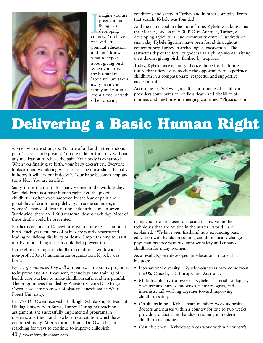

magine you and<br>pregnant and<br>living in a<br>developing<br>country. You have magine you are pregnant and living in a developing received little prenatal education and don't know what to expect about giving birth. When you arrive at the hospital in labor, you are taken away from your family and put in a room alone, or with other laboring

conditions and safety in Turkey and in other countries. From that search, Kybele was founded.

And the name couldn't be more fitting. Kybele was known as the Mother goddess in 7000 B.C. in Anatolia, Turkey, a developing agricultural and community center. Hundreds of small clay Kybele figurines have been found throughout contemporary Turkey in archeological excavations. The statuettes depict the fertility goddess as a plump woman sitting on a throne, giving birth, flanked by leopards.

Today, Kybele once again symbolizes hope for the future – a future that offers every mother the opportunity to experience childbirth in a compassionate, respectful and supportive environment.

According to Dr. Owen, insufficient training of health care providers contributes to needless death and disability of mothers and newborns in emerging countries. "Physicians in

## **Delivering a Basic Human Right**

women who are strangers. You are afraid and in tremendous pain. There is little privacy. You are in labor for a day without any medication to relieve the pain. Your body is exhausted. When you finally give birth, your baby doesn't cry. Everyone looks around wondering what to do. The nurse slaps the baby in hopes it will cry but it doesn't. Your baby becomes limp and turns blue. You are terrified.

Sadly, this is the reality for many women in the world today. Safe childbirth is a basic human right. Yet, the joy of childbirth is often overshadowed by the fear of pain and possibility of death during delivery. In some countries, a woman's chance of death during childbirth is one in seven. Worldwide, there are 1,600 maternal deaths each day. Most of these deaths could be prevented.

Furthermore, one in 10 newborns will require resuscitation at birth. Each year, millions of babies are poorly resuscitated, leading to lifelong disability or death. Simple training to assist a baby in breathing at birth could help prevent this.

In the effort to improve childbirth conditions worldwide, the non-profit 501(c) humanitarian organization, Kybele, was born.

Kybele *(pronounced Key-bell-a)* organizes in-country programs to improve essential treatment, technology and training of health care workers to make childbirth safer and less painful. The program was founded by Winston-Salem's Dr. Medge Owen, associate professor of obstetric anesthesia at Wake Forest University.

In 1997 Dr. Owen received a Fulbright Scholarship to teach at Uludag University in Bursa, Turkey. During her teaching assignment, she successfully implemented programs in obstetric anesthesia and newborn resuscitation which have continued today. After returning home, Dr. Owen began searching for ways to continue to improve childbirth



many countries are keen to educate themselves in the techniques that are routine in the western world," she explained. "We have seen firsthand how expanding basic education with hands-on training can dramatically change physician practice patterns, improve safety and enhance childbirth for many women."

As a result, Kybele developed an educational model that includes:

- International diversity Kybele volunteers have come from the US, Canada, UK, Europe, and Australia.
- Multidisciplinary teamwork Kybele has anesthesiologists, obstetricians, nurses, midwives, neonatologists, and internists…all working together toward improving childbirth safety.
- On-site training Kybele team members work alongside doctors and nurses within a country for one to two weeks, providing didactic and hands-on training in modern childbirth techniques.
- Cost efficiency Kybele's services work within a country's